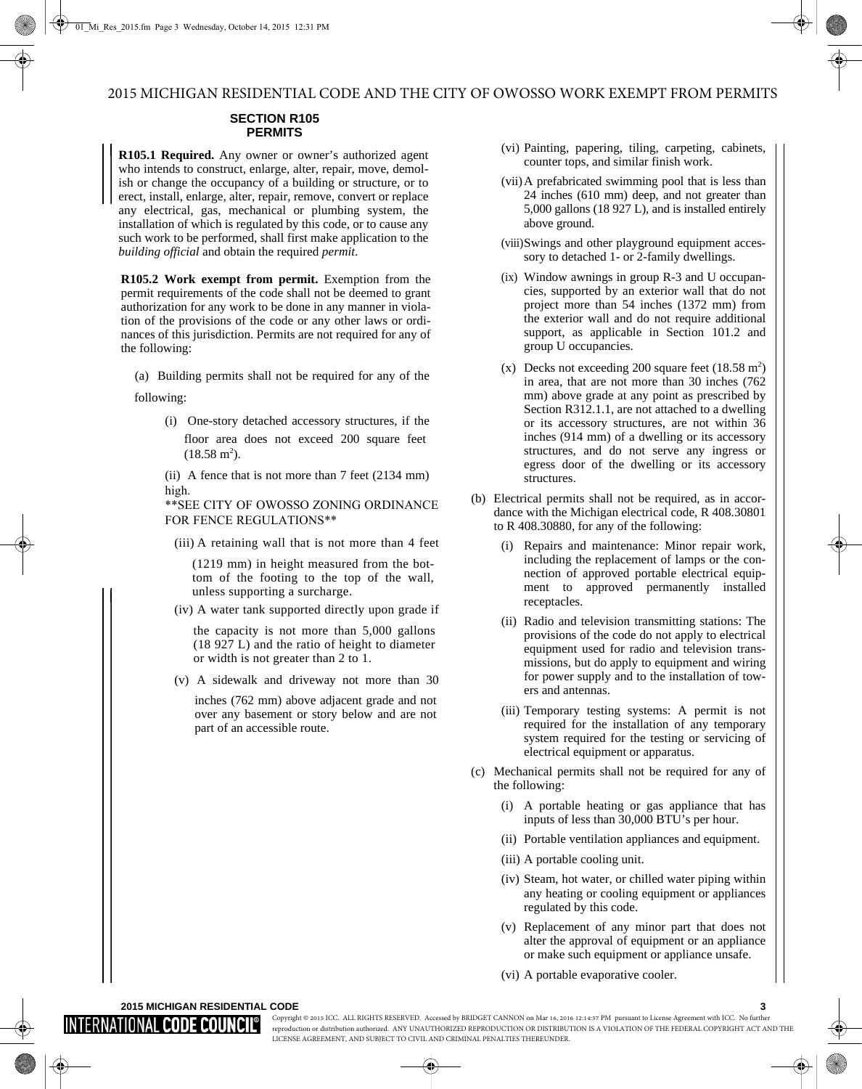## **SECTION R105 PERMITS**

**R105.1 Required.** Any owner or owner's authorized agent who intends to construct, enlarge, alter, repair, move, demolish or change the occupancy of a building or structure, or to erect, install, enlarge, alter, repair, remove, convert or replace any electrical, gas, mechanical or plumbing system, the installation of which is regulated by this code, or to cause any such work to be performed, shall first make application to the *building official* and obtain the required *permit*.

**R105.2 Work exempt from permit.** Exemption from the permit requirements of the code shall not be deemed to grant authorization for any work to be done in any manner in violation of the provisions of the code or any other laws or ordinances of this jurisdiction. Permits are not required for any of the following:

(a) Building permits shall not be required for any of the

following:

(i) One-story detached accessory structures, if the floor area does not exceed 200 square feet  $(18.58 \text{ m}^2)$ .

(ii) A fence that is not more than 7 feet (2134 mm) high.

\*\*SEE CITY OF OWOSSO ZONING ORDINANCE FOR FENCE REGULATIONS\*\*

(iii) A retaining wall that is not more than 4 feet

(1219 mm) in height measured from the bottom of the footing to the top of the wall, unless supporting a surcharge.

(iv) A water tank supported directly upon grade if

the capacity is not more than 5,000 gallons (18 927 L) and the ratio of height to diameter or width is not greater than 2 to 1.

(v) A sidewalk and driveway not more than 30

inches (762 mm) above adjacent grade and not over any basement or story below and are not part of an accessible route.

- (vi) Painting, papering, tiling, carpeting, cabinets, counter tops, and similar finish work.
- (vii)A prefabricated swimming pool that is less than 24 inches (610 mm) deep, and not greater than 5,000 gallons (18 927 L), and is installed entirely above ground.
- (viii)Swings and other playground equipment accessory to detached 1- or 2-family dwellings.
- (ix) Window awnings in group R-3 and U occupancies, supported by an exterior wall that do not project more than 54 inches (1372 mm) from the exterior wall and do not require additional support, as applicable in Section 101.2 and group U occupancies.
- (x) Decks not exceeding 200 square feet  $(18.58 \text{ m}^2)$ in area, that are not more than 30 inches (762 mm) above grade at any point as prescribed by Section R312.1.1, are not attached to a dwelling or its accessory structures, are not within 36 inches (914 mm) of a dwelling or its accessory structures, and do not serve any ingress or egress door of the dwelling or its accessory structures.
- (b) Electrical permits shall not be required, as in accordance with the Michigan electrical code, R 408.30801 to R 408.30880, for any of the following:
	- (i) Repairs and maintenance: Minor repair work, including the replacement of lamps or the connection of approved portable electrical equipment to approved permanently installed receptacles.
	- (ii) Radio and television transmitting stations: The provisions of the code do not apply to electrical equipment used for radio and television transmissions, but do apply to equipment and wiring for power supply and to the installation of towers and antennas.
	- (iii) Temporary testing systems: A permit is not required for the installation of any temporary system required for the testing or servicing of electrical equipment or apparatus.
- (c) Mechanical permits shall not be required for any of the following:
	- (i) A portable heating or gas appliance that has inputs of less than 30,000 BTU's per hour.
	- (ii) Portable ventilation appliances and equipment.
	- (iii) A portable cooling unit.
	- (iv) Steam, hot water, or chilled water piping within any heating or cooling equipment or appliances regulated by this code.
	- (v) Replacement of any minor part that does not alter the approval of equipment or an appliance or make such equipment or appliance unsafe.
	- (vi) A portable evaporative cooler.

## **2015 MICHIGAN RESIDENTIAL CODE 3**

## INTERNATIONAL **code cou**

Copyright © 2015 ICC. ALL RIGHTS RESERVED. Accessed by BRIDGET CANNON on Mar 16, 2016 12:14:57 PM pursuant to License Agreement with ICC. No further reproduction or distribution authorized. ANY UNAUTHORIZED REPRODUCTION OR DISTRIBUTION IS A VIOLATION OF THE FEDERAL COPYRIGHT ACT AND THE LICENSE AGREEMENT, AND SUBJECT TO CIVIL AND CRIMINAL PENALTIES THEREUNDER.